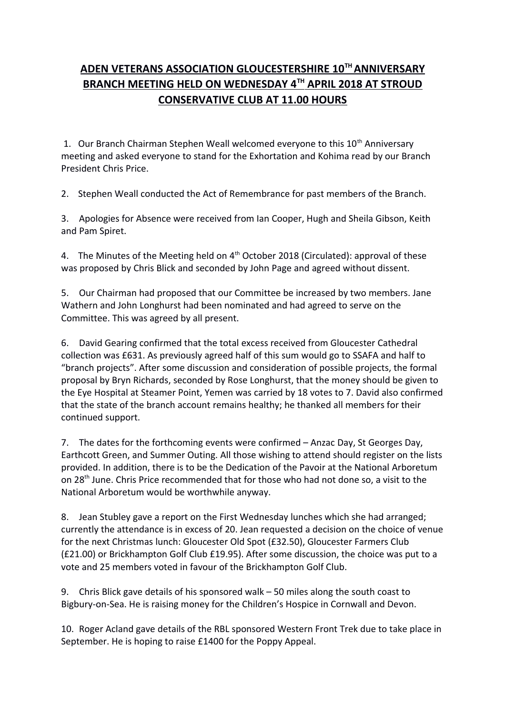## **ADEN VETERANS ASSOCIATION GLOUCESTERSHIRE 10TH ANNIVERSARY BRANCH MEETING HELD ON WEDNESDAY 4TH APRIL 2018 AT STROUD CONSERVATIVE CLUB AT 11.00 HOURS**

1. Our Branch Chairman Stephen Weall welcomed everyone to this 10<sup>th</sup> Anniversary meeting and asked everyone to stand for the Exhortation and Kohima read by our Branch President Chris Price.

2. Stephen Weall conducted the Act of Remembrance for past members of the Branch.

3. Apologies for Absence were received from Ian Cooper, Hugh and Sheila Gibson, Keith and Pam Spiret.

4. The Minutes of the Meeting held on 4<sup>th</sup> October 2018 (Circulated): approval of these was proposed by Chris Blick and seconded by John Page and agreed without dissent.

5. Our Chairman had proposed that our Committee be increased by two members. Jane Wathern and John Longhurst had been nominated and had agreed to serve on the Committee. This was agreed by all present.

6. David Gearing confirmed that the total excess received from Gloucester Cathedral collection was £631. As previously agreed half of this sum would go to SSAFA and half to "branch projects". After some discussion and consideration of possible projects, the formal proposal by Bryn Richards, seconded by Rose Longhurst, that the money should be given to the Eye Hospital at Steamer Point, Yemen was carried by 18 votes to 7. David also confirmed that the state of the branch account remains healthy; he thanked all members for their continued support.

7. The dates for the forthcoming events were confirmed – Anzac Day, St Georges Day, Earthcott Green, and Summer Outing. All those wishing to attend should register on the lists provided. In addition, there is to be the Dedication of the Pavoir at the National Arboretum on 28th June. Chris Price recommended that for those who had not done so, a visit to the National Arboretum would be worthwhile anyway.

8. Jean Stubley gave a report on the First Wednesday lunches which she had arranged; currently the attendance is in excess of 20. Jean requested a decision on the choice of venue for the next Christmas lunch: Gloucester Old Spot (£32.50), Gloucester Farmers Club (£21.00) or Brickhampton Golf Club £19.95). After some discussion, the choice was put to a vote and 25 members voted in favour of the Brickhampton Golf Club.

9. Chris Blick gave details of his sponsored walk – 50 miles along the south coast to Bigbury-on-Sea. He is raising money for the Children's Hospice in Cornwall and Devon.

10. Roger Acland gave details of the RBL sponsored Western Front Trek due to take place in September. He is hoping to raise £1400 for the Poppy Appeal.